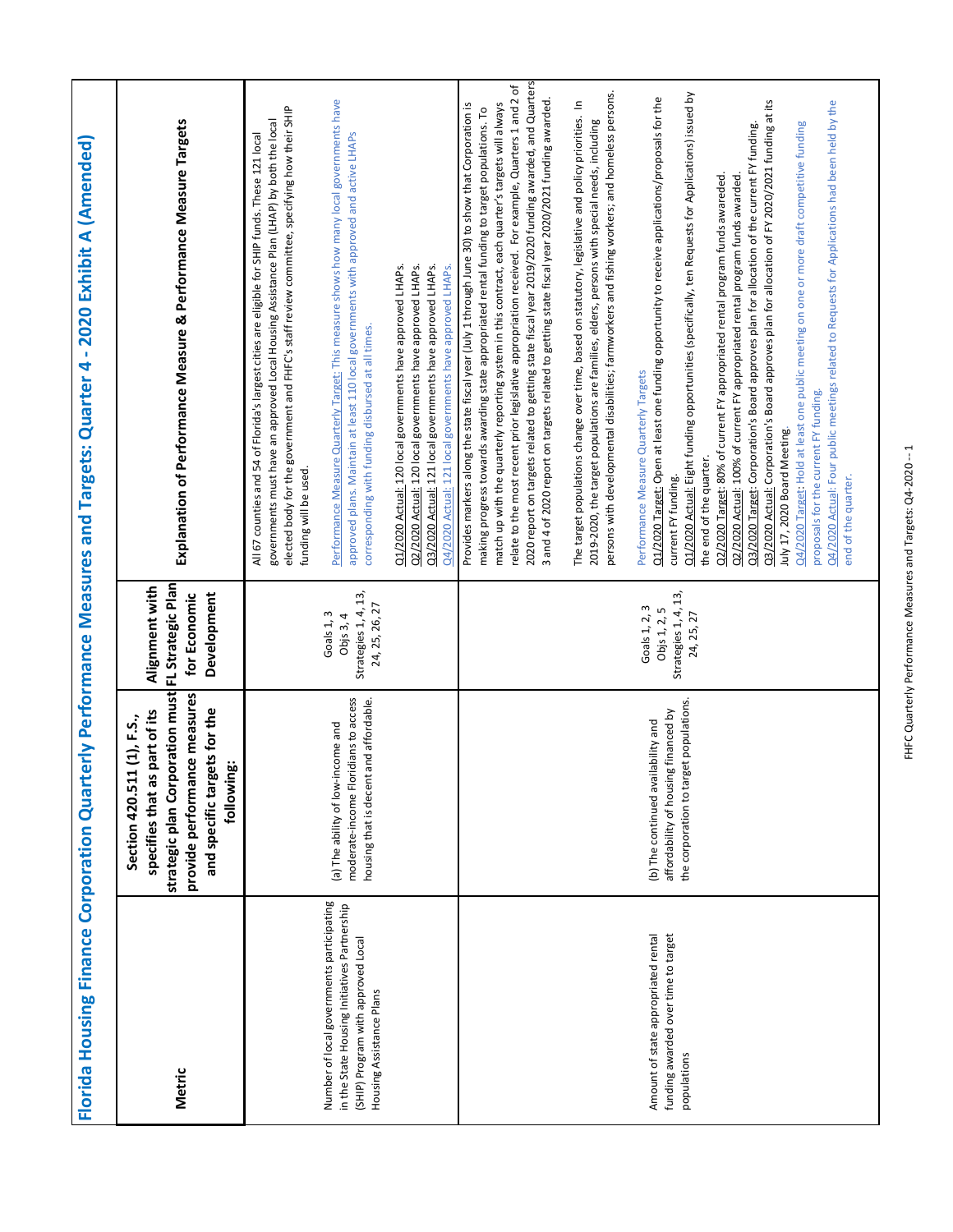|                                                                                                                                 | Explanation of Performance Measure & Performance Measure Targets                                                                                                                          | Performance Measure Quarterly Target: This measure shows how many local governments have<br>elected body for the government and FHFC's staff review committee, specifying how their SHIP<br>governments must have an approved Local Housing Assistance Plan (LHAP) by both the local<br>approved plans. Maintain at least 110 local governments with approved and active LHAPs<br>All 67 counties and 54 of Florida's largest cities are eligible for SHIP funds. These 121 local<br>Q2/2020 Actual: 120 local governments have approved LHAPs.<br>Q1/2020 Actual: 120 local governments have approved LHAPs.<br>Q3/2020 Actual: 121 local governments have approved LHAPs.<br>Q4/2020 Actual: 121 local governments have approved LHAPs.<br>corresponding with funding disbursed at all times.<br>funding will be used. | 2020 report on targets related to getting state fiscal year 2019/2020 funding awarded, and Quarters<br>relate to the most recent prior legislative appropriation received. For example, Quarters 1 and 2 of<br>persons with developmental disabilities; farmworkers and fishing workers; and homeless persons.<br>Q1/2020 Actual: Eight funding opportunities (specifically, ten Requests for Applications) issued by<br>Q1/2020 Target: Open at least one funding opportunity to receive applications/proposals for the<br>3 and 4 of 2020 report on targets related to getting state fiscal year 2020/2021 funding awarded.<br>Q3/2020 Actual: Corporation's Board approves plan for allocation of FY 2020/2021 funding at its<br>Q4/2020 Actual: Four public meetings related to Requests for Applications had been held by the<br>match up with the quarterly reporting system in this contract, each quarter's targets will always<br>$\equiv$<br>Provides markers along the state fiscal year (July 1 through June 30) to show that Corporation is<br>making progress towards awarding state appropriated rental funding to target populations. To<br>The target populations change over time, based on statutory, legislative and policy priorities.<br>2019-2020, the target populations are families, elders, persons with special needs, including<br>03/2020 Target: Corporation's Board approves plan for allocation of the current FY funding.<br>Q4/2020 Target: Hold at least one public meeting on one or more draft competitive funding<br>Q2/2020 Target: 80% of current FY appropriated rental program funds awareded.<br>Q2/2020 Actual: 100% of current FY appropriated rental program funds awarded.<br>Performance Measure Quarterly Targets<br>proposals for the current FY funding.<br>July 17, 2020 Board Meeting.<br>the end of the quarter.<br>current FY funding.<br>end of the quarter. |
|---------------------------------------------------------------------------------------------------------------------------------|-------------------------------------------------------------------------------------------------------------------------------------------------------------------------------------------|--------------------------------------------------------------------------------------------------------------------------------------------------------------------------------------------------------------------------------------------------------------------------------------------------------------------------------------------------------------------------------------------------------------------------------------------------------------------------------------------------------------------------------------------------------------------------------------------------------------------------------------------------------------------------------------------------------------------------------------------------------------------------------------------------------------------------|-----------------------------------------------------------------------------------------------------------------------------------------------------------------------------------------------------------------------------------------------------------------------------------------------------------------------------------------------------------------------------------------------------------------------------------------------------------------------------------------------------------------------------------------------------------------------------------------------------------------------------------------------------------------------------------------------------------------------------------------------------------------------------------------------------------------------------------------------------------------------------------------------------------------------------------------------------------------------------------------------------------------------------------------------------------------------------------------------------------------------------------------------------------------------------------------------------------------------------------------------------------------------------------------------------------------------------------------------------------------------------------------------------------------------------------------------------------------------------------------------------------------------------------------------------------------------------------------------------------------------------------------------------------------------------------------------------------------------------------------------------------------------------------------------------------------------------------------------------------------------------------------------------------------------|
|                                                                                                                                 | FL Strategic Plan<br>Alignment with<br>Development<br>for Economic                                                                                                                        | Strategies 1, 4, 13,<br>24, 25, 26, 27<br>Goals 1, 3<br>Obj3, 4                                                                                                                                                                                                                                                                                                                                                                                                                                                                                                                                                                                                                                                                                                                                                          | Strategies 1, 4, 13,<br>Goals 1, 2, 3<br>Objs 1, 2, 5<br>24, 25, 27                                                                                                                                                                                                                                                                                                                                                                                                                                                                                                                                                                                                                                                                                                                                                                                                                                                                                                                                                                                                                                                                                                                                                                                                                                                                                                                                                                                                                                                                                                                                                                                                                                                                                                                                                                                                                                                   |
| erly Performance Measures and Targets: Quarter 4 - 2020 Exhibit A (Amended)<br><b>Florida Housing Finance Corporation Quart</b> | strategic plan Corporation must<br>provide performance measures<br>and specific targets for the<br>part of its<br>1(1), F.S.,<br>following:<br>specifies that as<br><b>Section 420.51</b> | moderate-income Floridians to access<br>and affordable.<br>(a) The ability of low-income and<br>housing that is decent                                                                                                                                                                                                                                                                                                                                                                                                                                                                                                                                                                                                                                                                                                   | the corporation to target populations.<br>affordability of housing financed by<br>(b) The continued availability and                                                                                                                                                                                                                                                                                                                                                                                                                                                                                                                                                                                                                                                                                                                                                                                                                                                                                                                                                                                                                                                                                                                                                                                                                                                                                                                                                                                                                                                                                                                                                                                                                                                                                                                                                                                                  |
|                                                                                                                                 | Metric                                                                                                                                                                                    | Number of local governments participating<br>in the State Housing Initiatives Partnership<br>(SHIP) Program with approved Local<br>Housing Assistance Plans                                                                                                                                                                                                                                                                                                                                                                                                                                                                                                                                                                                                                                                              | Amount of state appropriated rental<br>funding awarded over time to target<br>populations                                                                                                                                                                                                                                                                                                                                                                                                                                                                                                                                                                                                                                                                                                                                                                                                                                                                                                                                                                                                                                                                                                                                                                                                                                                                                                                                                                                                                                                                                                                                                                                                                                                                                                                                                                                                                             |